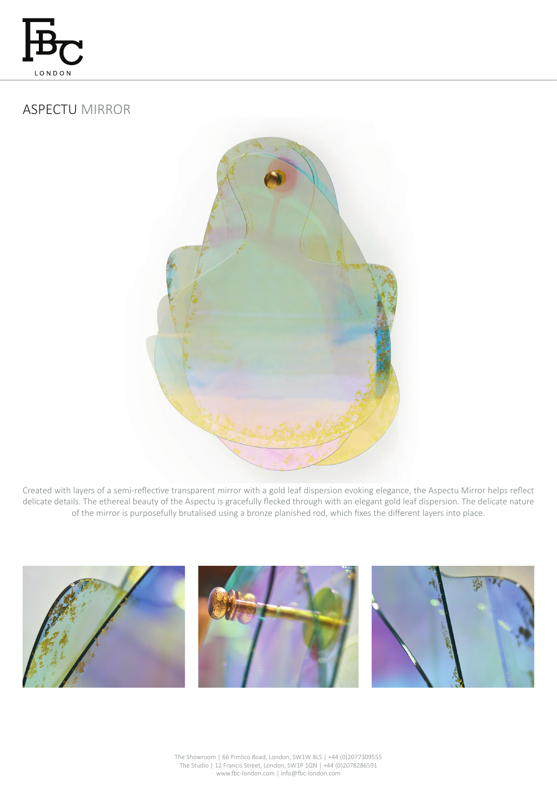

# ASPECTU MIRROR



Created with layers of a semi-reflective transparent mirror with a gold leaf dispersion evoking elegance, the Aspectu Mirror helps reflect delicate details. The ethereal beauty of the Aspectu is gracefully flecked through with an elegant gold leaf dispersion. The delicate nature of the mirror is purposefully brutalised using a bronze planished rod, which fixes the different layers into place.